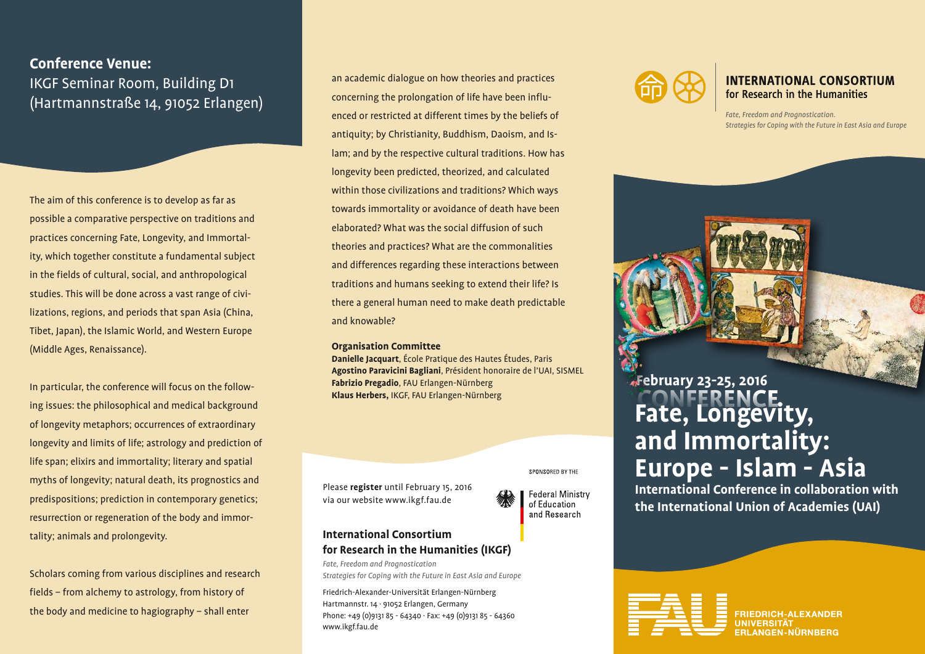**Conference Venue:** IKGF Seminar Room, Building D1 (Hartmannstraße 14, 91052 Erlangen)

The aim of this conference is to develop as far as possible a comparative perspective on traditions and practices concerning Fate, Longevity, and Immortality, which together constitute a fundamental subject in the fields of cultural, social, and anthropological studies. This will be done across a vast range of civilizations, regions, and periods that span Asia (China, Tibet, Japan), the Islamic World, and Western Europe (Middle Ages, Renaissance).

In particular, the conference will focus on the following issues: the philosophical and medical background of longevity metaphors; occurrences of extraordinary longevity and limits of life; astrology and prediction of life span; elixirs and immortality; literary and spatial myths of longevity; natural death, its prognostics and predispositions; prediction in contemporary genetics; resurrection or regeneration of the body and immortality; animals and prolongevity.

Scholars coming from various disciplines and research fields – from alchemy to astrology, from history of the body and medicine to hagiography – shall enter

an academic dialogue on how theories and practices concerning the prolongation of life have been influenced or restricted at different times by the beliefs of antiquity; by Christianity, Buddhism, Daoism, and Islam; and by the respective cultural traditions. How has longevity been predicted, theorized, and calculated within those civilizations and traditions? Which ways towards immortality or avoidance of death have been elaborated? What was the social diffusion of such theories and practices? What are the commonalities and differences regarding these interactions between traditions and humans seeking to extend their life? Is there a general human need to make death predictable and knowable?

#### **Organisation Committee**

**Danielle Jacquart**, École Pratique des Hautes Études, Paris **Agostino Paravicini Bagliani**, Président honoraire de l'UAI, SISMEL **Fabrizio Pregadio**, FAU Erlangen-Nürnberg **Klaus Herbers,** IKGF, FAU Erlangen-Nürnberg

Please **register** until February 15, 2016 via our website www.ikgf.fau.de



SPONSORED BY THE

### **International Consortium for Research in the Humanities (IKGF)**

*Fate, Freedom and Prognostication Strategies for Coping with the Future in East Asia and Europe*

Friedrich-Alexander-Universität Erlangen-Nürnberg Hartmannstr. 14 · 91052 Erlangen, Germany Phone: +49 (0)9131 85 - 64340 · Fax: +49 (0)9131 85 - 64360 www.ikgf.fau.de



### **INTERNATIONAL CONSORTIUM** for Research in the Humanities

*Fate, Freedom and Prognostication. Strategies for Coping with the Future in East Asia and Europe*

## **Fate, Longevity, and Immortality: Europe - Islam - Asia February 23-25, 2016**

**International Conference in collaboration with the International Union of Academies (UAI)**